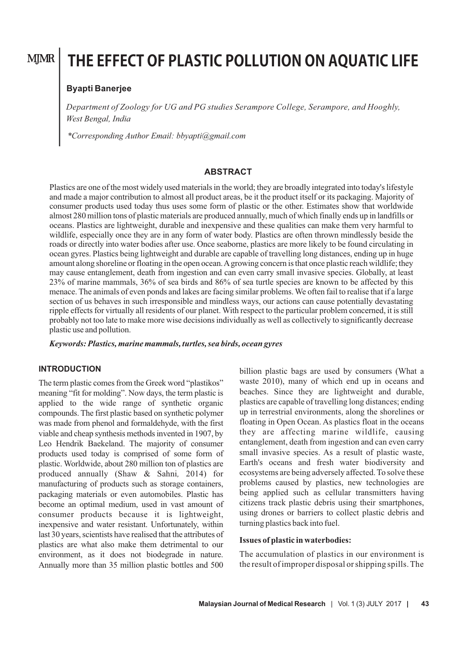## **MJMR**

# **THE EFFECT OF PLASTIC POLLUTION ON AQUATIC LIFE**

## **Byapti Banerjee**

*Department of Zoology for UG and PG studies Serampore College, Serampore, and Hooghly, West Bengal, India*

*\*Corresponding Author Email: bbyapti@gmail.com*

#### **ABSTRACT**

Plastics are one of the most widely used materials in the world; they are broadly integrated into today's lifestyle and made a major contribution to almost all product areas, be it the product itself or its packaging. Majority of consumer products used today thus uses some form of plastic or the other. Estimates show that worldwide almost 280 million tons of plastic materials are produced annually, much of which finally ends up in landfills or oceans. Plastics are lightweight, durable and inexpensive and these qualities can make them very harmful to wildlife, especially once they are in any form of water body. Plastics are often thrown mindlessly beside the roads or directly into water bodies after use. Once seaborne, plastics are more likely to be found circulating in ocean gyres. Plastics being lightweight and durable are capable of travelling long distances, ending up in huge amount along shoreline or floating in the open ocean. A growing concern is that once plastic reach wildlife; they may cause entanglement, death from ingestion and can even carry small invasive species. Globally, at least 23% of marine mammals, 36% of sea birds and 86% of sea turtle species are known to be affected by this menace. The animals of even ponds and lakes are facing similar problems. We often fail to realise that if a large section of us behaves in such irresponsible and mindless ways, our actions can cause potentially devastating ripple effects for virtually all residents of our planet. With respect to the particular problem concerned, it is still probably not too late to make more wise decisions individually as well as collectively to significantly decrease plastic use and pollution.

*Keywords: Plastics, marine mammals, turtles, sea birds, ocean gyres*

#### **INTRODUCTION**

The term plastic comes from the Greek word "plastikos" meaning "fit for molding". Now days, the term plastic is applied to the wide range of synthetic organic compounds. The first plastic based on synthetic polymer was made from phenol and formaldehyde, with the first viable and cheap synthesis methods invented in 1907, by Leo Hendrik Baekeland. The majority of consumer products used today is comprised of some form of plastic. Worldwide, about 280 million ton of plastics are produced annually (Shaw & Sahni*,* 2014) for manufacturing of products such as storage containers, packaging materials or even automobiles. Plastic has become an optimal medium, used in vast amount of consumer products because it is lightweight, inexpensive and water resistant. Unfortunately, within last 30 years, scientists have realised that the attributes of plastics are what also make them detrimental to our environment, as it does not biodegrade in nature. Annually more than 35 million plastic bottles and 500

billion plastic bags are used by consumers (What a waste 2010), many of which end up in oceans and beaches. Since they are lightweight and durable, plastics are capable of travelling long distances; ending up in terrestrial environments, along the shorelines or floating in Open Ocean. As plastics float in the oceans they are affecting marine wildlife, causing entanglement, death from ingestion and can even carry small invasive species. As a result of plastic waste, Earth's oceans and fresh water biodiversity and ecosystems are being adversely affected. To solve these problems caused by plastics, new technologies are being applied such as cellular transmitters having citizens track plastic debris using their smartphones, using drones or barriers to collect plastic debris and turning plastics back into fuel.

## **Issues of plastic in waterbodies:**

The accumulation of plastics in our environment is the result of improper disposal or shipping spills. The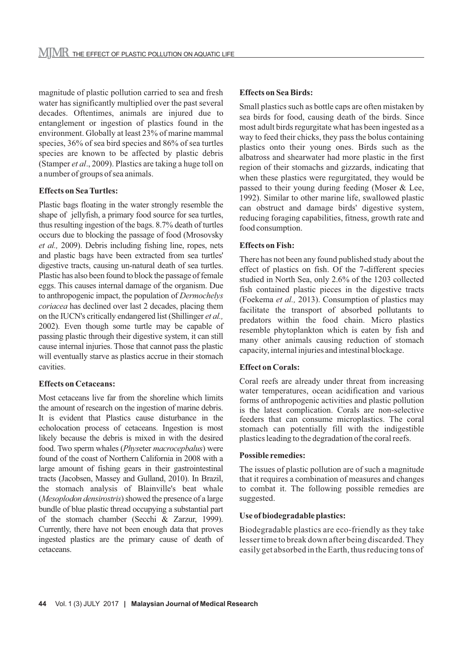magnitude of plastic pollution carried to sea and fresh water has significantly multiplied over the past several decades. Oftentimes, animals are injured due to entanglement or ingestion of plastics found in the environment. Globally at least 23% of marine mammal species, 36% of sea bird species and 86% of sea turtles species are known to be affected by plastic debris (Stamper *et al*., 2009). Plastics are taking a huge toll on a number of groups of sea animals.

## **Effects on Sea Turtles:**

Plastic bags floating in the water strongly resemble the shape of jellyfish, a primary food source for sea turtles, thus resulting ingestion of the bags. 8.7% death of turtles occurs due to blocking the passage of food (Mrosovsky *et al.,* 2009). Debris including fishing line, ropes, nets and plastic bags have been extracted from sea turtles' digestive tracts, causing un-natural death of sea turtles. Plastic has also been found to block the passage of female eggs. This causes internal damage of the organism. Due to anthropogenic impact, the population of *Dermochelys coriacea* has declined over last 2 decades, placing them on the IUCN's critically endangered list (Shillinger *et al.,* 2002). Even though some turtle may be capable of passing plastic through their digestive system, it can still cause internal injuries. Those that cannot pass the plastic will eventually starve as plastics accrue in their stomach cavities.

#### **Effects on Cetaceans:**

Most cetaceans live far from the shoreline which limits the amount of research on the ingestion of marine debris. It is evident that Plastics cause disturbance in the echolocation process of cetaceans. Ingestion is most likely because the debris is mixed in with the desired food. Two sperm whales (*Phys*eter *macrocepbalus*) were found of the coast of Northern California in 2008 with a large amount of fishing gears in their gastrointestinal tracts (Jacobsen, Massey and Gulland, 2010). In Brazil, the stomach analysis of Blainville's beat whale (*Mesoplodon densirostris*) showed the presence of a large bundle of blue plastic thread occupying a substantial part of the stomach chamber (Secchi & Zarzur, 1999). Currently, there have not been enough data that proves ingested plastics are the primary cause of death of cetaceans.

#### **Effects on Sea Birds:**

Small plastics such as bottle caps are often mistaken by sea birds for food, causing death of the birds. Since most adult birds regurgitate what has been ingested as a way to feed their chicks, they pass the bolus containing plastics onto their young ones. Birds such as the albatross and shearwater had more plastic in the first region of their stomachs and gizzards, indicating that when these plastics were regurgitated, they would be passed to their young during feeding (Moser & Lee, 1992). Similar to other marine life, swallowed plastic can obstruct and damage birds' digestive system, reducing foraging capabilities, fitness, growth rate and food consumption.

#### **Effects on Fish:**

There has not been any found published study about the effect of plastics on fish. Of the 7-different species studied in North Sea, only 2.6% of the 1203 collected fish contained plastic pieces in the digestive tracts (Foekema *et al.,* 2013). Consumption of plastics may facilitate the transport of absorbed pollutants to predators within the food chain. Micro plastics resemble phytoplankton which is eaten by fish and many other animals causing reduction of stomach capacity, internal injuries and intestinal blockage.

#### **Effect on Corals:**

Coral reefs are already under threat from increasing water temperatures, ocean acidification and various forms of anthropogenic activities and plastic pollution is the latest complication. Corals are non-selective feeders that can consume microplastics. The coral stomach can potentially fill with the indigestible plastics leading to the degradation of the coral reefs.

#### **Possible remedies:**

The issues of plastic pollution are of such a magnitude that it requires a combination of measures and changes to combat it. The following possible remedies are suggested.

#### **Use of biodegradable plastics:**

Biodegradable plastics are eco-friendly as they take lesser time to break down after being discarded. They easily get absorbed in the Earth, thus reducing tons of